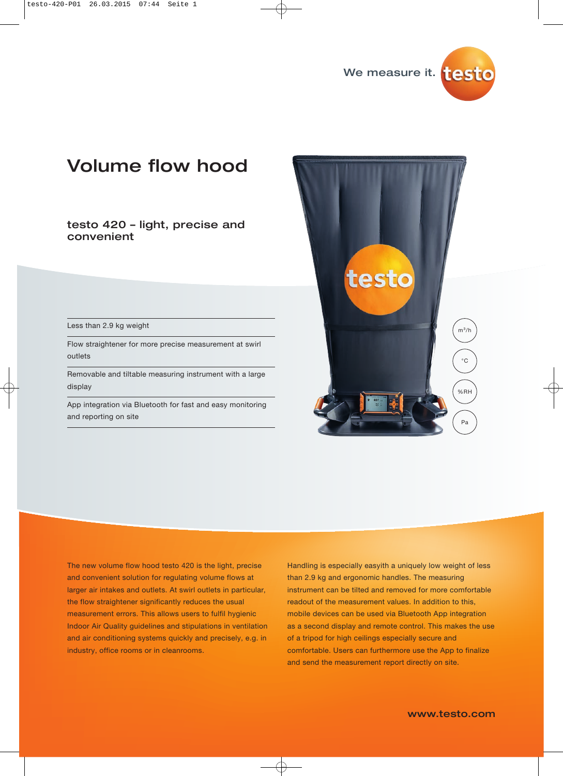

# Volume flow hood

testo 420 – light, precise and convenient

Less than 2.9 kg weight

Flow straightener for more precise measurement at swirl outlets

Removable and tiltable measuring instrument with a large display

App integration via Bluetooth for fast and easy monitoring and reporting on site



The new volume flow hood testo 420 is the light, precise and convenient solution for regulating volume flows at larger air intakes and outlets. At swirl outlets in particular, the flow straightener significantly reduces the usual measurement errors. This allows users to fulfil hygienic Indoor Air Quality guidelines and stipulations in ventilation and air conditioning systems quickly and precisely, e.g. in industry, office rooms or in cleanrooms.

Handling is especially easyith a uniquely low weight of less than 2.9 kg and ergonomic handles. The measuring instrument can be tilted and removed for more comfortable readout of the measurement values. In addition to this, mobile devices can be used via Bluetooth App integration as a second display and remote control. This makes the use of a tripod for high ceilings especially secure and comfortable. Users can furthermore use the App to finalize and send the measurement report directly on site.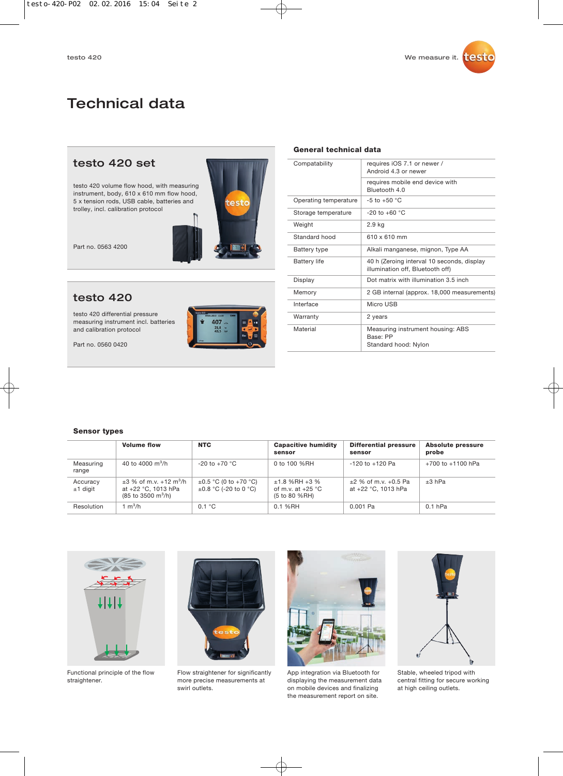## Technical data

### testo 420 set

testo 420 volume flow hood, with measuring instrument, body, 610 x 610 mm flow hood, 5 x tension rods, USB cable, batteries and trolley, incl. calibration protocol



Part no. 0563 4200

### testo 420

testo 420 differential pressure measuring instrument incl. batteries and calibration protocol

Part no. 0560 0420



| Compatability | requires iOS 7.1 or newer /<br>Android 4.3 or newer |
|---------------|-----------------------------------------------------|
|               | requires mobile end device                          |

**General technical data**

|                       | requires mobile end device with<br>Bluetooth 4.0                               |
|-----------------------|--------------------------------------------------------------------------------|
| Operating temperature | $-5$ to $+50$ °C                                                               |
| Storage temperature   | $-20$ to $+60$ °C                                                              |
| Weight                | 2.9 kg                                                                         |
| Standard hood         | $610 \times 610$ mm                                                            |
| Battery type          | Alkali manganese, mignon, Type AA                                              |
| <b>Battery life</b>   | 40 h (Zeroing interval 10 seconds, display<br>illumination off, Bluetooth off) |
| Display               | Dot matrix with illumination 3.5 inch                                          |
| Memory                | 2 GB internal (approx. 18,000 measurements)                                    |
| Interface             | Micro USB                                                                      |
| Warranty              | 2 years                                                                        |
| Material              | Measuring instrument housing: ABS<br>Base: PP<br>Standard hood: Nylon          |

#### **Sensor types**

|                        | <b>Volume flow</b>                                                                                             | <b>NTC</b>                                               | <b>Capacitive humidity</b><br>sensor                      | <b>Differential pressure</b><br>sensor          | <b>Absolute pressure</b><br>probe |
|------------------------|----------------------------------------------------------------------------------------------------------------|----------------------------------------------------------|-----------------------------------------------------------|-------------------------------------------------|-----------------------------------|
| Measuring<br>range     | 40 to 4000 $\rm m^3/h$                                                                                         | $-20$ to $+70$ °C                                        | 0 to 100 %RH                                              | $-120$ to $+120$ Pa                             | $+700$ to $+1100$ hPa             |
| Accuracy<br>$±1$ digit | $\pm 3$ % of m.v. +12 m <sup>3</sup> /h<br>at +22 °C, 1013 hPa<br>$(85 \text{ to } 3500 \text{ m}^3/\text{h})$ | $\pm 0.5$ °C (0 to +70 °C)<br>$\pm 0.8$ °C (-20 to 0 °C) | $±1.8$ %RH $+3$ %<br>of m.v. at $+25$ °C<br>(5 to 80 %RH) | $±2$ % of m.v. $+0.5$ Pa<br>at +22 °C. 1013 hPa | $±3$ hPa                          |
| Resolution             | 1 m $^3$ /h                                                                                                    | 0.1 °C                                                   | 0.1 %RH                                                   | 0.001 Pa                                        | $0.1$ hPa                         |



Functional principle of the flow straightener.



Flow straightener for significantly more precise measurements at swirl outlets.



App integration via Bluetooth for displaying the measurement data on mobile devices and finalizing the measurement report on site.



Stable, wheeled tripod with central fitting for secure working at high ceiling outlets.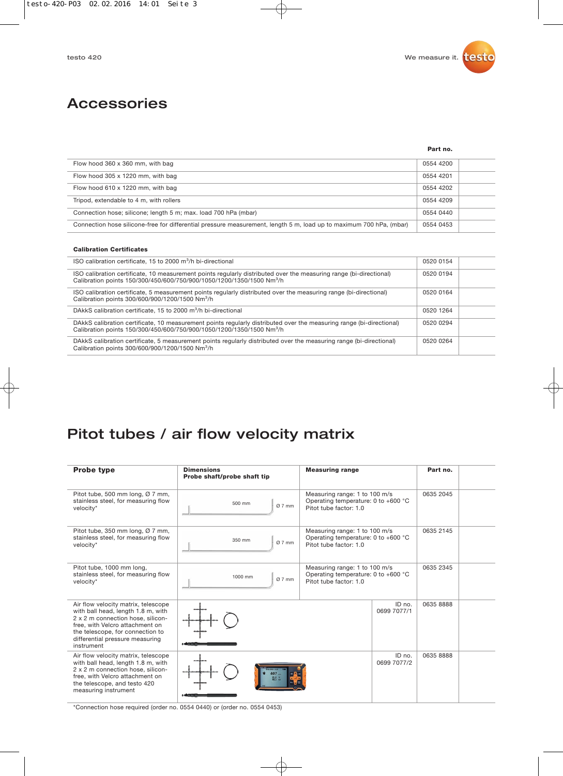### Accessories

#### **Part no.**

| Flow hood 360 x 360 mm, with bag                                                                                    | 0554 4200 |  |
|---------------------------------------------------------------------------------------------------------------------|-----------|--|
| Flow hood 305 x 1220 mm, with bag                                                                                   | 0554 4201 |  |
| Flow hood 610 x 1220 mm, with bag                                                                                   | 0554 4202 |  |
| Tripod, extendable to 4 m, with rollers                                                                             | 0554 4209 |  |
| Connection hose; silicone; length 5 m; max. load 700 hPa (mbar)                                                     | 0554 0440 |  |
| Connection hose silicone-free for differential pressure measurement, length 5 m, load up to maximum 700 hPa, (mbar) | 0554 0453 |  |

#### **Calibration Certificates**

| ISO calibration certificate, 15 to 2000 m <sup>3</sup> /h bi-directional                                                                                                                                  | 0520 0154 |  |
|-----------------------------------------------------------------------------------------------------------------------------------------------------------------------------------------------------------|-----------|--|
| ISO calibration certificate, 10 measurement points regularly distributed over the measuring range (bi-directional)<br>Calibration points 150/300/450/600/750/900/1050/1200/1350/1500 Nm <sup>3</sup> /h   | 0520 0194 |  |
| ISO calibration certificate, 5 measurement points regularly distributed over the measuring range (bi-directional)<br>Calibration points 300/600/900/1200/1500 Nm <sup>3</sup> /h                          | 0520 0164 |  |
| DAkkS calibration certificate, 15 to 2000 m <sup>3</sup> /h bi-directional                                                                                                                                | 0520 1264 |  |
| DAkkS calibration certificate, 10 measurement points regularly distributed over the measuring range (bi-directional)<br>Calibration points 150/300/450/600/750/900/1050/1200/1350/1500 Nm <sup>3</sup> /h | 0520 0294 |  |
| DAkkS calibration certificate, 5 measurement points regularly distributed over the measuring range (bi-directional)<br>Calibration points 300/600/900/1200/1500 Nm <sup>3</sup> /h                        | 0520 0264 |  |

## Pitot tubes / air flow velocity matrix

| <b>Probe type</b>                                                                                                                                                                                                                      | <b>Dimensions</b><br>Probe shaft/probe shaft tip | <b>Measuring range</b>                                                                                   | Part no.  |
|----------------------------------------------------------------------------------------------------------------------------------------------------------------------------------------------------------------------------------------|--------------------------------------------------|----------------------------------------------------------------------------------------------------------|-----------|
| Pitot tube, 500 mm long, Ø 7 mm,<br>stainless steel, for measuring flow<br>velocity*                                                                                                                                                   | 500 mm<br>Ø7mm                                   | Measuring range: 1 to 100 m/s<br>Operating temperature: 0 to +600 $^{\circ}$ C<br>Pitot tube factor: 1.0 | 0635 2045 |
| Pitot tube, 350 mm long, Ø 7 mm,<br>stainless steel, for measuring flow<br>velocity*                                                                                                                                                   | 350 mm<br>Ø7mm                                   | Measuring range: 1 to 100 m/s<br>Operating temperature: 0 to +600 °C<br>Pitot tube factor: 1.0           | 0635 2145 |
| Pitot tube, 1000 mm long,<br>stainless steel, for measuring flow<br>velocity*                                                                                                                                                          | 1000 mm<br>Ø7mm                                  | Measuring range: 1 to 100 m/s<br>Operating temperature: 0 to +600 $^{\circ}$ C<br>Pitot tube factor: 1.0 | 0635 2345 |
| Air flow velocity matrix, telescope<br>with ball head, length 1.8 m, with<br>2 x 2 m connection hose, silicon-<br>free, with Velcro attachment on<br>the telescope, for connection to<br>differential pressure measuring<br>instrument |                                                  | ID no.<br>0699 7077/1                                                                                    | 0635 8888 |
| Air flow velocity matrix, telescope<br>with ball head, length 1.8 m, with<br>2 x 2 m connection hose, silicon-<br>free, with Velcro attachment on<br>the telescope, and testo 420<br>measuring instrument                              |                                                  | ID no.<br>0699 7077/2                                                                                    | 0635 8888 |

\*Connection hose required (order no. 0554 0440) or (order no. 0554 0453)